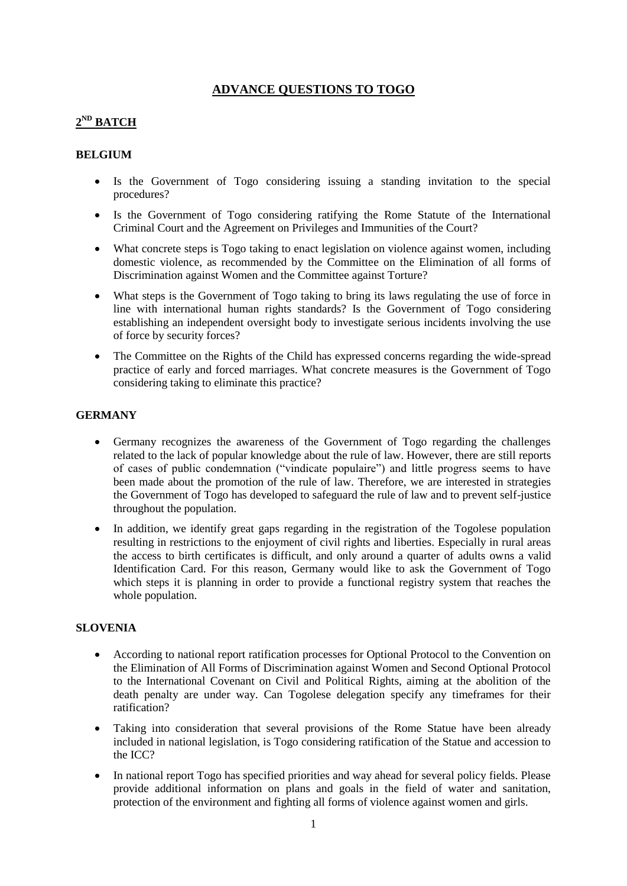## **ADVANCE QUESTIONS TO TOGO**

# **2 ND BATCH**

### **BELGIUM**

- Is the Government of Togo considering issuing a standing invitation to the special procedures?
- Is the Government of Togo considering ratifying the Rome Statute of the International Criminal Court and the Agreement on Privileges and Immunities of the Court?
- What concrete steps is Togo taking to enact legislation on violence against women, including domestic violence, as recommended by the Committee on the Elimination of all forms of Discrimination against Women and the Committee against Torture?
- What steps is the Government of Togo taking to bring its laws regulating the use of force in line with international human rights standards? Is the Government of Togo considering establishing an independent oversight body to investigate serious incidents involving the use of force by security forces?
- The Committee on the Rights of the Child has expressed concerns regarding the wide-spread practice of early and forced marriages. What concrete measures is the Government of Togo considering taking to eliminate this practice?

### **GERMANY**

- Germany recognizes the awareness of the Government of Togo regarding the challenges related to the lack of popular knowledge about the rule of law. However, there are still reports of cases of public condemnation ("vindicate populaire") and little progress seems to have been made about the promotion of the rule of law. Therefore, we are interested in strategies the Government of Togo has developed to safeguard the rule of law and to prevent self-justice throughout the population.
- In addition, we identify great gaps regarding in the registration of the Togolese population resulting in restrictions to the enjoyment of civil rights and liberties. Especially in rural areas the access to birth certificates is difficult, and only around a quarter of adults owns a valid Identification Card. For this reason, Germany would like to ask the Government of Togo which steps it is planning in order to provide a functional registry system that reaches the whole population.

#### **SLOVENIA**

- According to national report ratification processes for Optional Protocol to the Convention on the Elimination of All Forms of Discrimination against Women and Second Optional Protocol to the International Covenant on Civil and Political Rights, aiming at the abolition of the death penalty are under way. Can Togolese delegation specify any timeframes for their ratification?
- Taking into consideration that several provisions of the Rome Statue have been already included in national legislation, is Togo considering ratification of the Statue and accession to the ICC?
- In national report Togo has specified priorities and way ahead for several policy fields. Please provide additional information on plans and goals in the field of water and sanitation, protection of the environment and fighting all forms of violence against women and girls.